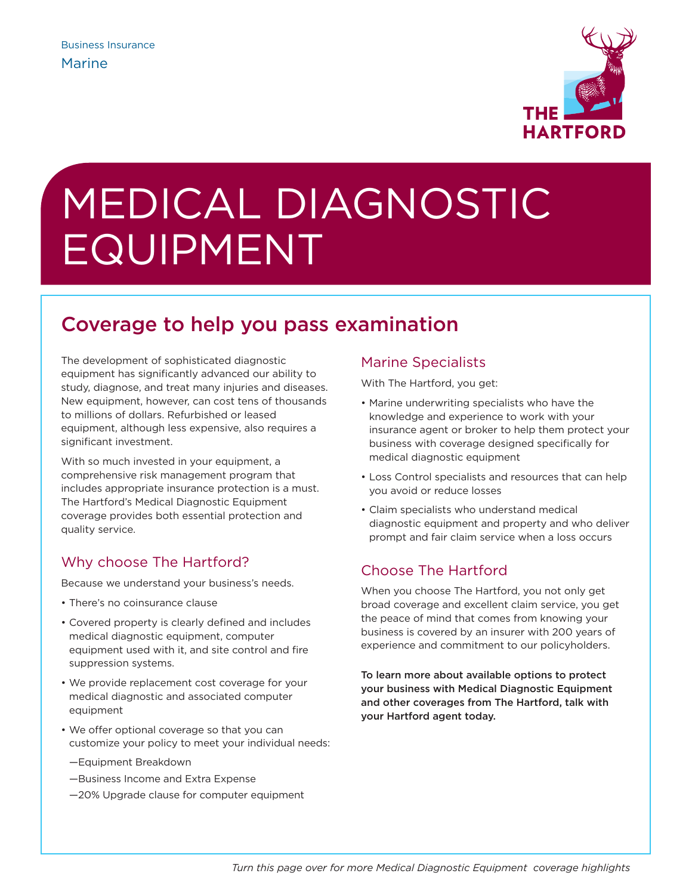

# MEDICAL DIAGNOSTIC EQUIPMENT

## Coverage to help you pass examination

The development of sophisticated diagnostic equipment has significantly advanced our ability to study, diagnose, and treat many injuries and diseases. New equipment, however, can cost tens of thousands to millions of dollars. Refurbished or leased equipment, although less expensive, also requires a significant investment.

With so much invested in your equipment, a comprehensive risk management program that includes appropriate insurance protection is a must. The Hartford's Medical Diagnostic Equipment coverage provides both essential protection and quality service.

## Why choose The Hartford?

Because we understand your business's needs.

- There's no coinsurance clause
- Covered property is clearly defined and includes medical diagnostic equipment, computer equipment used with it, and site control and fire suppression systems.
- We provide replacement cost coverage for your medical diagnostic and associated computer equipment
- We offer optional coverage so that you can customize your policy to meet your individual needs:
	- —Equipment Breakdown
	- —Business Income and Extra Expense
	- —20% Upgrade clause for computer equipment

## Marine Specialists

With The Hartford, you get:

- Marine underwriting specialists who have the knowledge and experience to work with your insurance agent or broker to help them protect your business with coverage designed specifically for medical diagnostic equipment
- Loss Control specialists and resources that can help you avoid or reduce losses
- Claim specialists who understand medical diagnostic equipment and property and who deliver prompt and fair claim service when a loss occurs

## Choose The Hartford

When you choose The Hartford, you not only get broad coverage and excellent claim service, you get the peace of mind that comes from knowing your business is covered by an insurer with 200 years of experience and commitment to our policyholders.

To learn more about available options to protect your business with Medical Diagnostic Equipment and other coverages from The Hartford, talk with your Hartford agent today.